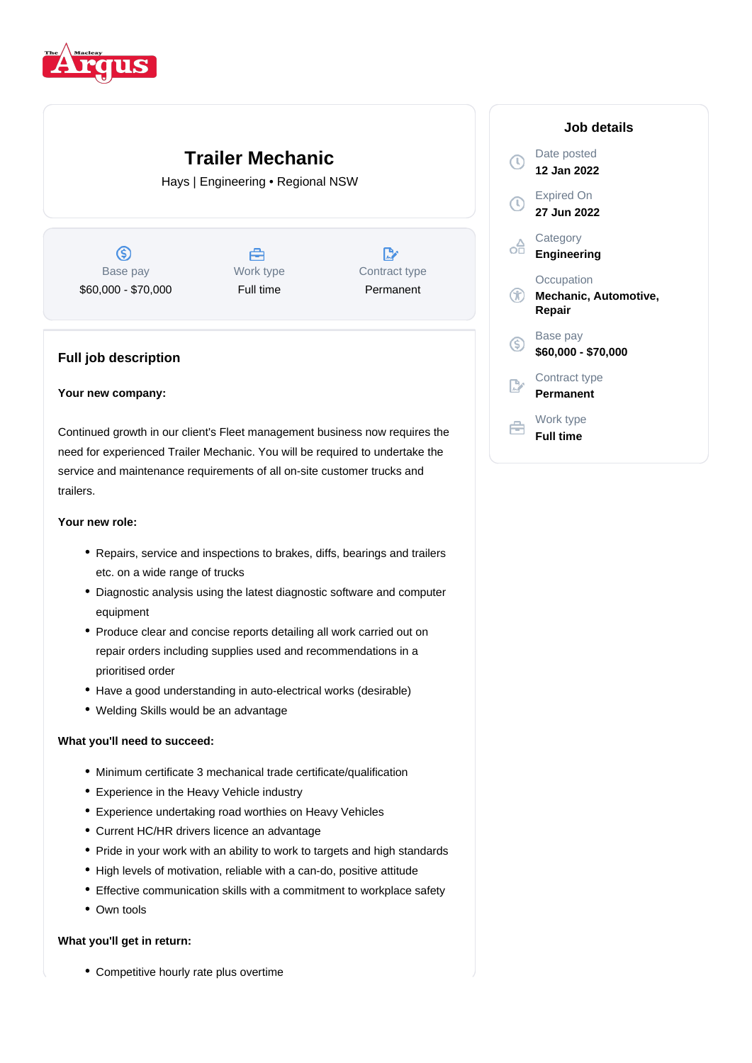

# **Trailer Mechanic**

Hays | Engineering • Regional NSW

 $\circledS$ Base pay \$60,000 - \$70,000

合 Work type Full time

D, Contract type Permanent

# **Full job description**

## **Your new company:**

Continued growth in our client's Fleet management business now requires the need for experienced Trailer Mechanic. You will be required to undertake the service and maintenance requirements of all on-site customer trucks and trailers.

#### **Your new role:**

- Repairs, service and inspections to brakes, diffs, bearings and trailers etc. on a wide range of trucks
- Diagnostic analysis using the latest diagnostic software and computer equipment
- Produce clear and concise reports detailing all work carried out on repair orders including supplies used and recommendations in a prioritised order
- Have a good understanding in auto-electrical works (desirable)
- Welding Skills would be an advantage

#### **What you'll need to succeed:**

- Minimum certificate 3 mechanical trade certificate/qualification
- Experience in the Heavy Vehicle industry
- Experience undertaking road worthies on Heavy Vehicles
- Current HC/HR drivers licence an advantage
- Pride in your work with an ability to work to targets and high standards
- High levels of motivation, reliable with a can-do, positive attitude
- Effective communication skills with a commitment to workplace safety
- Own tools

## **What you'll get in return:**

Competitive hourly rate plus overtime

# **Job details** Date posted  $\mathbb{C}$ **12 Jan 2022** Expired On **27 Jun 2022 Category** oâ **Engineering Occupation Mechanic, Automotive, Repair** Base pay <sub>(S)</sub> **\$60,000 - \$70,000** Contract type **Permanent** Work type **Full time**